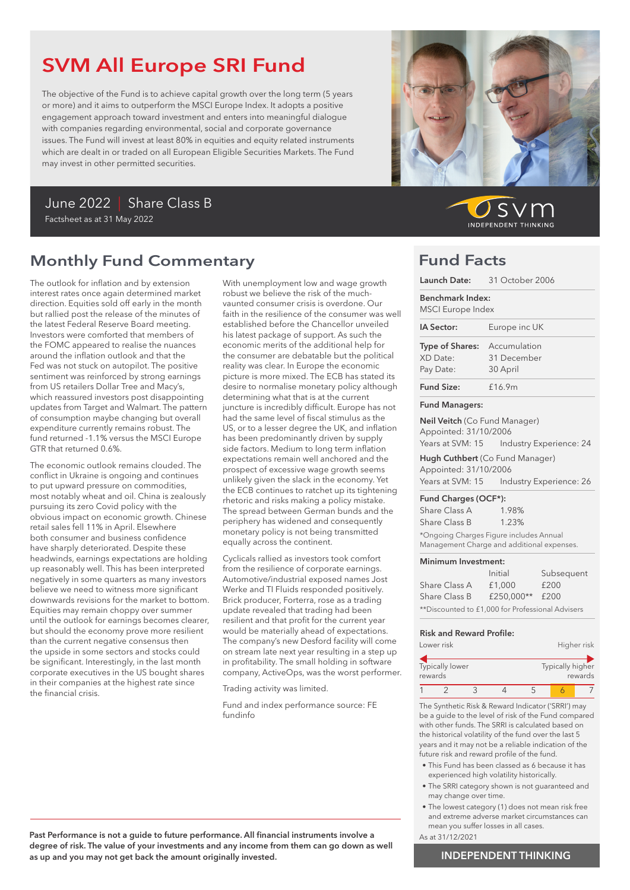# SVM All Europe SRI Fund

The objective of the Fund is to achieve capital growth over the long term (5 years or more) and it aims to outperform the MSCI Europe Index. It adopts a positive engagement approach toward investment and enters into meaningful dialogue with companies regarding environmental, social and corporate governance issues. The Fund will invest at least 80% in equities and equity related instruments which are dealt in or traded on all European Eligible Securities Markets. The Fund may invest in other permitted securities.



## Monthly Fund Commentary

The outlook for inflation and by extension interest rates once again determined market direction. Equities sold off early in the month but rallied post the release of the minutes of the latest Federal Reserve Board meeting. Investors were comforted that members of the FOMC appeared to realise the nuances around the inflation outlook and that the Fed was not stuck on autopilot. The positive sentiment was reinforced by strong earnings from US retailers Dollar Tree and Macy's, which reassured investors post disappointing updates from Target and Walmart. The pattern of consumption maybe changing but overall expenditure currently remains robust. The fund returned -1.1% versus the MSCI Europe GTR that returned 0.6%.

The economic outlook remains clouded. The conflict in Ukraine is ongoing and continues to put upward pressure on commodities, most notably wheat and oil. China is zealously pursuing its zero Covid policy with the obvious impact on economic growth. Chinese retail sales fell 11% in April. Elsewhere both consumer and business confidence have sharply deteriorated. Despite these headwinds, earnings expectations are holding up reasonably well. This has been interpreted negatively in some quarters as many investors believe we need to witness more significant downwards revisions for the market to bottom. Equities may remain choppy over summer until the outlook for earnings becomes clearer, but should the economy prove more resilient than the current negative consensus then the upside in some sectors and stocks could be significant. Interestingly, in the last month corporate executives in the US bought shares in their companies at the highest rate since the financial crisis.

With unemployment low and wage growth robust we believe the risk of the muchvaunted consumer crisis is overdone. Our faith in the resilience of the consumer was well established before the Chancellor unveiled his latest package of support. As such the economic merits of the additional help for the consumer are debatable but the political reality was clear. In Europe the economic picture is more mixed. The ECB has stated its desire to normalise monetary policy although determining what that is at the current juncture is incredibly difficult. Europe has not had the same level of fiscal stimulus as the US, or to a lesser degree the UK, and inflation has been predominantly driven by supply side factors. Medium to long term inflation expectations remain well anchored and the prospect of excessive wage growth seems unlikely given the slack in the economy. Yet the ECB continues to ratchet up its tightening rhetoric and risks making a policy mistake. The spread between German bunds and the periphery has widened and consequently monetary policy is not being transmitted equally across the continent.

Cyclicals rallied as investors took comfort from the resilience of corporate earnings. Automotive/industrial exposed names Jost Werke and TI Fluids responded positively. Brick producer, Forterra, rose as a trading update revealed that trading had been resilient and that profit for the current year would be materially ahead of expectations. The company's new Desford facility will come on stream late next year resulting in a step up in profitability. The small holding in software company, ActiveOps, was the worst performer.

Trading activity was limited.

Fund and index performance source: FE fundinfo



 $\mathcal{S}$ **INDEPENDENT THINKING** 

### Fund Facts

| Launch Date: 31 October 2006                                                                                                                                                                                                                                                                                                                                                          |  |  |
|---------------------------------------------------------------------------------------------------------------------------------------------------------------------------------------------------------------------------------------------------------------------------------------------------------------------------------------------------------------------------------------|--|--|
| <b>Benchmark Index:</b><br><b>MSCI</b> Europe Index                                                                                                                                                                                                                                                                                                                                   |  |  |
| Europe inc UK                                                                                                                                                                                                                                                                                                                                                                         |  |  |
| Type of Shares: Accumulation<br>31 December<br>30 April                                                                                                                                                                                                                                                                                                                               |  |  |
| £16.9m                                                                                                                                                                                                                                                                                                                                                                                |  |  |
|                                                                                                                                                                                                                                                                                                                                                                                       |  |  |
| Neil Veitch (Co Fund Manager)<br>Appointed: 31/10/2006                                                                                                                                                                                                                                                                                                                                |  |  |
| Years at SVM: 15    Industry Experience: 24                                                                                                                                                                                                                                                                                                                                           |  |  |
| Hugh Cuthbert (Co Fund Manager)<br>Appointed: 31/10/2006                                                                                                                                                                                                                                                                                                                              |  |  |
| Years at SVM: 15    Industry Experience: 26                                                                                                                                                                                                                                                                                                                                           |  |  |
| Fund Charges (OCF*):                                                                                                                                                                                                                                                                                                                                                                  |  |  |
| 1.98%                                                                                                                                                                                                                                                                                                                                                                                 |  |  |
| 1.23%<br>$+\cap$ $\qquad \qquad$ $\Box$ $\qquad \qquad$ $\Box$ $\qquad \qquad$ $\Box$ $\qquad \qquad$ $\Box$ $\qquad \qquad$ $\Box$ $\qquad \qquad$ $\Box$ $\qquad \qquad$ $\Box$ $\qquad \qquad$ $\Box$ $\qquad \qquad$ $\Box$ $\qquad \qquad$ $\Box$ $\qquad \qquad$ $\Box$ $\qquad \qquad$ $\Box$ $\qquad \qquad$ $\Box$ $\qquad \qquad$ $\Box$ $\qquad \qquad$ $\Box$ $\qquad \q$ |  |  |
|                                                                                                                                                                                                                                                                                                                                                                                       |  |  |

Ongoing Charges Figure includes Annual Management Charge and additional expenses.

#### Minimum Investment:

|                                                  | Initial    | Subsequent |  |
|--------------------------------------------------|------------|------------|--|
| Share Class A                                    | £1,000     | £200       |  |
| Share Class B                                    | £250.000** | £200       |  |
| **Discounted to £1,000 for Professional Advisers |            |            |  |

#### Risk and Reward Profile:

| Higher risk                 |
|-----------------------------|
|                             |
| Typically higher<br>rewards |
|                             |

1 2 3 4 5 <mark>6</mark> 7

The Synthetic Risk & Reward Indicator ('SRRI') may be a guide to the level of risk of the Fund compared with other funds. The SRRI is calculated based on the historical volatility of the fund over the last 5 years and it may not be a reliable indication of the future risk and reward profile of the fund.

- This Fund has been classed as 6 because it has experienced high volatility historically.
- The SRRI category shown is not guaranteed and may change over time.
- The lowest category (1) does not mean risk free and extreme adverse market circumstances can mean you suffer losses in all cases. As at 31/12/2021
- Past Performance is not a guide to future performance. All financial instruments involve a degree of risk. The value of your investments and any income from them can go down as well as up and you may not get back the amount originally invested.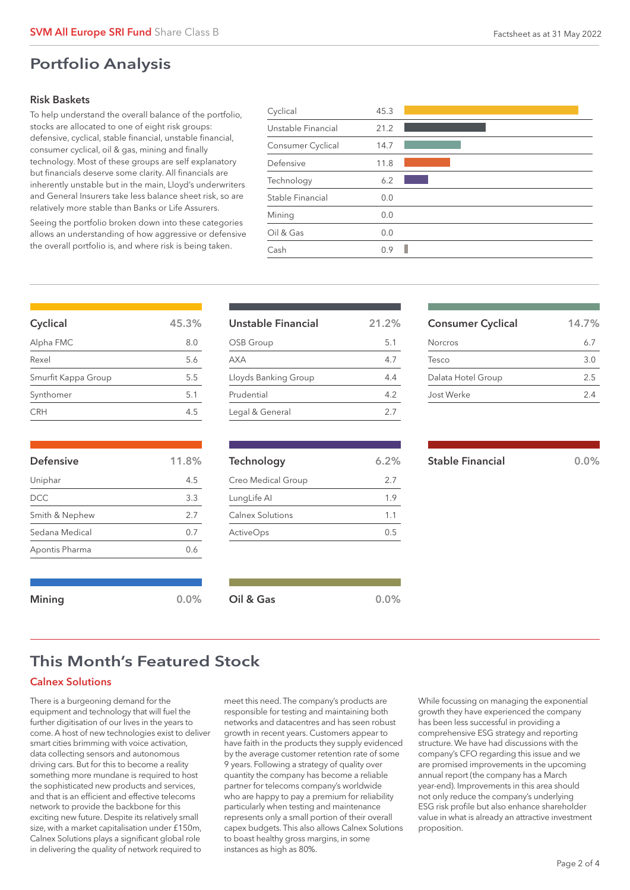### Risk Baskets

To help understand the overall balance of the portfolio, stocks are allocated to one of eight risk groups: defensive, cyclical, stable financial, unstable financial, consumer cyclical, oil & gas, mining and finally technology. Most of these groups are self explanatory but financials deserve some clarity. All financials are inherently unstable but in the main, Lloyd's underwriters and General Insurers take less balance sheet risk, so are relatively more stable than Banks or Life Assurers.

Seeing the portfolio broken down into these categories allows an understanding of how aggressive or defensive the overall portfolio is, and where risk is being taken.

| Cyclical           | 45.3 |  |
|--------------------|------|--|
| Unstable Financial | 21.2 |  |
| Consumer Cyclical  | 14.7 |  |
| Defensive          | 11.8 |  |
| Technology         | 6.2  |  |
| Stable Financial   | 0.0  |  |
| Mining             | 0.0  |  |
| Oil & Gas          | 0.0  |  |
| Cash               | 0.9  |  |
|                    |      |  |

| Cyclical            | 45.3% |
|---------------------|-------|
| Alpha FMC           | 8.0   |
| Rexel               | 5.6   |
| Smurfit Kappa Group | 5.5   |
| Synthomer           | 5.1   |
| CRH                 | 45    |

| <b>Defensive</b> | 11.8% |
|------------------|-------|
| Uniphar          | 4.5   |
| DCC              | 3.3   |
| Smith & Nephew   | 2.7   |
| Sedana Medical   | 0.7   |
| Apontis Pharma   | 0.6   |
|                  |       |
|                  |       |

| Unstable Financial   | 21.2% |
|----------------------|-------|
| OSB Group            | 5.1   |
| <b>AXA</b>           | 4.7   |
| Lloyds Banking Group | 44    |
| Prudential           | 4.2   |
| Legal & General      | 27    |

| Technology         | 6.2% |
|--------------------|------|
| Creo Medical Group | 2.7  |
| LungLife Al        | 1.9  |
| Calnex Solutions   | 1.1  |
| <b>ActiveOps</b>   | 0.5  |
|                    |      |

| <b>Consumer Cyclical</b> | 14.7% |
|--------------------------|-------|
| Norcros                  | 6.7   |
| Tesco                    | 3.O   |
| Dalata Hotel Group       | 2.5   |
| Jost Werke               | 2.4   |
|                          |       |

Stable Financial 0.0%

## This Month's Featured Stock

Mining and the Community of Collection Collection Collection Collection Collection Collection Collection Colle

### Calnex Solutions

There is a burgeoning demand for the equipment and technology that will fuel the further digitisation of our lives in the years to come. A host of new technologies exist to deliver smart cities brimming with voice activation, data collecting sensors and autonomous driving cars. But for this to become a reality something more mundane is required to host the sophisticated new products and services, and that is an efficient and effective telecoms network to provide the backbone for this exciting new future. Despite its relatively small size, with a market capitalisation under £150m, Calnex Solutions plays a significant global role in delivering the quality of network required to

meet this need. The company's products are responsible for testing and maintaining both networks and datacentres and has seen robust growth in recent years. Customers appear to have faith in the products they supply evidenced by the average customer retention rate of some 9 years. Following a strategy of quality over quantity the company has become a reliable partner for telecoms company's worldwide who are happy to pay a premium for reliability particularly when testing and maintenance represents only a small portion of their overall capex budgets. This also allows Calnex Solutions to boast healthy gross margins, in some instances as high as 80%.

While focussing on managing the exponential growth they have experienced the company has been less successful in providing a comprehensive ESG strategy and reporting structure. We have had discussions with the company's CFO regarding this issue and we are promised improvements in the upcoming annual report (the company has a March year-end). Improvements in this area should not only reduce the company's underlying ESG risk profile but also enhance shareholder value in what is already an attractive investment proposition.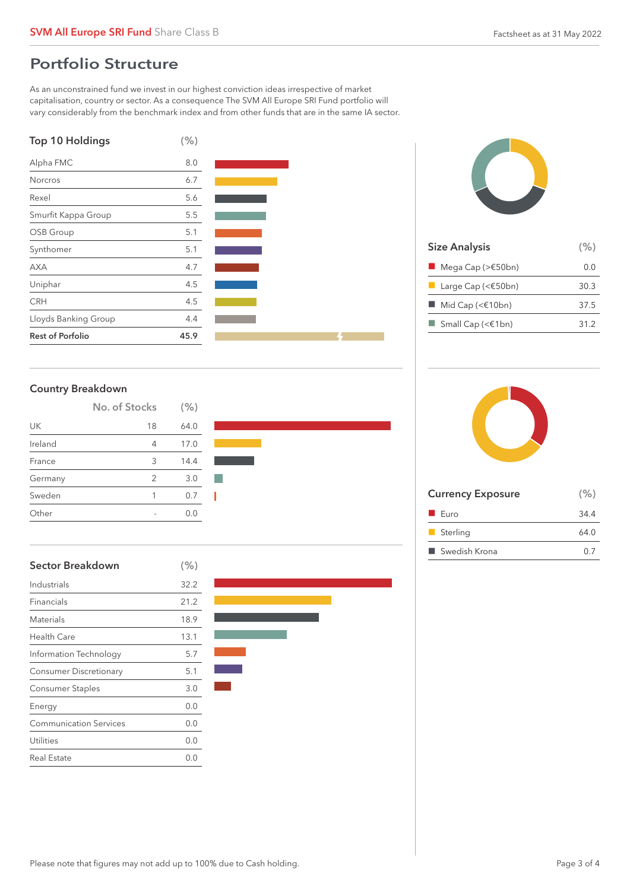## Portfolio Structure

As an unconstrained fund we invest in our highest conviction ideas irrespective of market capitalisation, country or sector. As a consequence The SVM All Europe SRI Fund portfolio will vary considerably from the benchmark index and from other funds that are in the same IA sector.







| <b>Size Analysis</b>                             | (% ) |
|--------------------------------------------------|------|
| $\blacksquare$ Mega Cap (> $\epsilon$ 50bn)      | 0.O  |
| <b>Large Cap (&lt;<math>\epsilon</math>50bn)</b> | 30.3 |
| $\blacksquare$ Mid Cap (< $\epsilon$ 10bn)       | 37.5 |
| Small Cap (< $\in$ 1bn)                          | 31.2 |
|                                                  |      |

### Country Breakdown

|         | No. of Stocks | (% ) |  |
|---------|---------------|------|--|
| UK      | 18            | 64.0 |  |
| Ireland | 4             | 17.0 |  |
| France  | 3             | 14.4 |  |
| Germany | 2             | 3.0  |  |
| Sweden  | 1             | 0.7  |  |
| Other   |               |      |  |

| <b>Sector Breakdown</b>       | (% ) |
|-------------------------------|------|
| Industrials                   | 32.2 |
| Financials                    | 21.2 |
| Materials                     | 18.9 |
| Health Care                   | 13.1 |
| Information Technology        | 5.7  |
| <b>Consumer Discretionary</b> | 5.1  |
| Consumer Staples              | 3.0  |
| Energy                        | 0.0  |
| <b>Communication Services</b> | 0.0  |
| Utilities                     | 0.0  |
| Real Estate                   | 0.0  |





| <b>Currency Exposure</b> | (% ) |
|--------------------------|------|
| $\blacksquare$ Euro      | 34.4 |
| Sterling                 | 64.0 |
| ■ Swedish Krona          | 0.7  |
|                          |      |